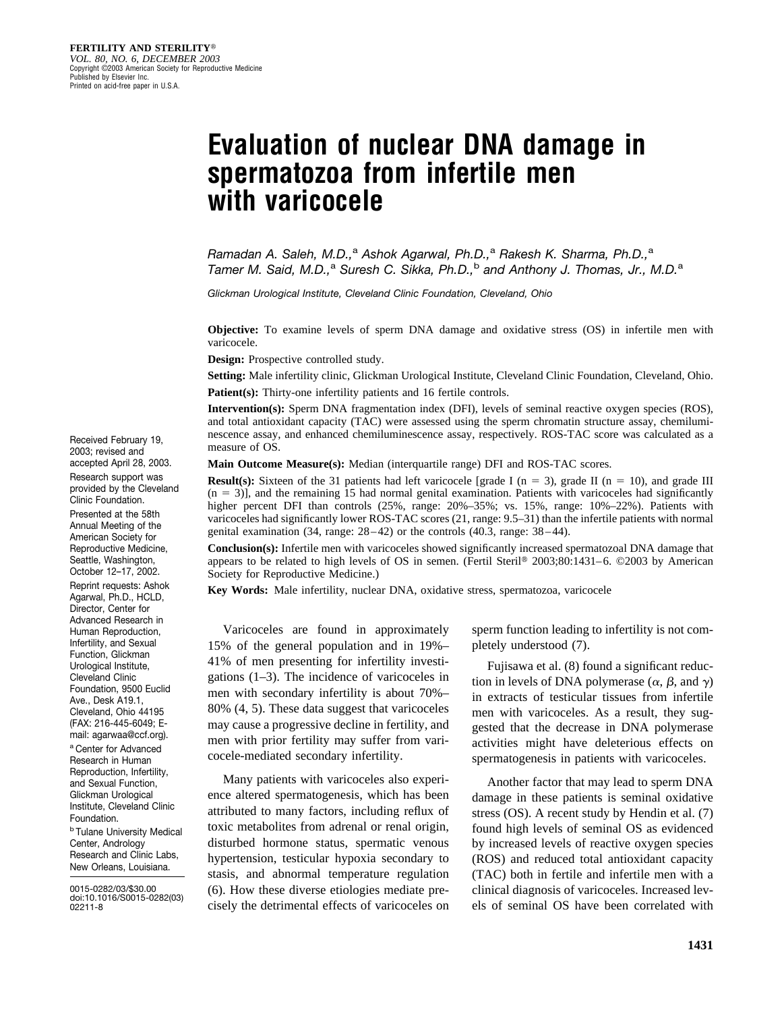# **Evaluation of nuclear DNA damage in spermatozoa from infertile men with varicocele**

*Ramadan A. Saleh, M.D.,*<sup>a</sup> *Ashok Agarwal, Ph.D.,*<sup>a</sup> *Rakesh K. Sharma, Ph.D.,*<sup>a</sup> *Tamer M. Said, M.D.,*<sup>a</sup> *Suresh C. Sikka, Ph.D.,*<sup>b</sup> *and Anthony J. Thomas, Jr., M.D.*<sup>a</sup>

*Glickman Urological Institute, Cleveland Clinic Foundation, Cleveland, Ohio*

**Objective:** To examine levels of sperm DNA damage and oxidative stress (OS) in infertile men with varicocele.

**Design:** Prospective controlled study.

**Setting:** Male infertility clinic, Glickman Urological Institute, Cleveland Clinic Foundation, Cleveland, Ohio. **Patient(s):** Thirty-one infertility patients and 16 fertile controls.

**Intervention(s):** Sperm DNA fragmentation index (DFI), levels of seminal reactive oxygen species (ROS), and total antioxidant capacity (TAC) were assessed using the sperm chromatin structure assay, chemiluminescence assay, and enhanced chemiluminescence assay, respectively. ROS-TAC score was calculated as a measure of OS.

**Main Outcome Measure(s):** Median (interquartile range) DFI and ROS-TAC scores.

**Result(s):** Sixteen of the 31 patients had left varicocele [grade I ( $n = 3$ ), grade II ( $n = 10$ ), and grade III  $(n = 3)$ ], and the remaining 15 had normal genital examination. Patients with varicoceles had significantly higher percent DFI than controls  $(25\%$ , range:  $20\% - 35\%$ ; vs. 15%, range: 10%–22%). Patients with varicoceles had significantly lower ROS-TAC scores (21, range: 9.5–31) than the infertile patients with normal genital examination (34, range: 28–42) or the controls (40.3, range: 38–44).

**Conclusion(s):** Infertile men with varicoceles showed significantly increased spermatozoal DNA damage that appears to be related to high levels of OS in semen. (Fertil Steril® 2003;80:1431–6. ©2003 by American Society for Reproductive Medicine.)

**Key Words:** Male infertility, nuclear DNA, oxidative stress, spermatozoa, varicocele

Varicoceles are found in approximately 15% of the general population and in 19%– 41% of men presenting for infertility investigations (1–3). The incidence of varicoceles in men with secondary infertility is about 70%– 80% (4, 5). These data suggest that varicoceles may cause a progressive decline in fertility, and men with prior fertility may suffer from varicocele-mediated secondary infertility.

Many patients with varicoceles also experience altered spermatogenesis, which has been attributed to many factors, including reflux of toxic metabolites from adrenal or renal origin, disturbed hormone status, spermatic venous hypertension, testicular hypoxia secondary to stasis, and abnormal temperature regulation (6). How these diverse etiologies mediate precisely the detrimental effects of varicoceles on sperm function leading to infertility is not completely understood (7).

Fujisawa et al. (8) found a significant reduction in levels of DNA polymerase  $(\alpha, \beta, \text{ and } \gamma)$ in extracts of testicular tissues from infertile men with varicoceles. As a result, they suggested that the decrease in DNA polymerase activities might have deleterious effects on spermatogenesis in patients with varicoceles.

Another factor that may lead to sperm DNA damage in these patients is seminal oxidative stress (OS). A recent study by Hendin et al. (7) found high levels of seminal OS as evidenced by increased levels of reactive oxygen species (ROS) and reduced total antioxidant capacity (TAC) both in fertile and infertile men with a clinical diagnosis of varicoceles. Increased levels of seminal OS have been correlated with

Received February 19, 2003; revised and accepted April 28, 2003.

Research support was provided by the Cleveland Clinic Foundation. Presented at the 58th Annual Meeting of the American Society for Reproductive Medicine, Seattle, Washington, October 12–17, 2002. Reprint requests: Ashok Agarwal, Ph.D., HCLD, Director, Center for Advanced Research in Human Reproduction, Infertility, and Sexual Function, Glickman Urological Institute, Cleveland Clinic Foundation, 9500 Euclid Ave., Desk A19.1, Cleveland, Ohio 44195 (FAX: 216-445-6049; Email: agarwaa@ccf.org).

a Center for Advanced Research in Human Reproduction, Infertility, and Sexual Function, Glickman Urological Institute, Cleveland Clinic Foundation.

**b Tulane University Medical** Center, Andrology Research and Clinic Labs, New Orleans, Louisiana.

0015-0282/03/\$30.00 doi:10.1016/S0015-0282(03) 02211-8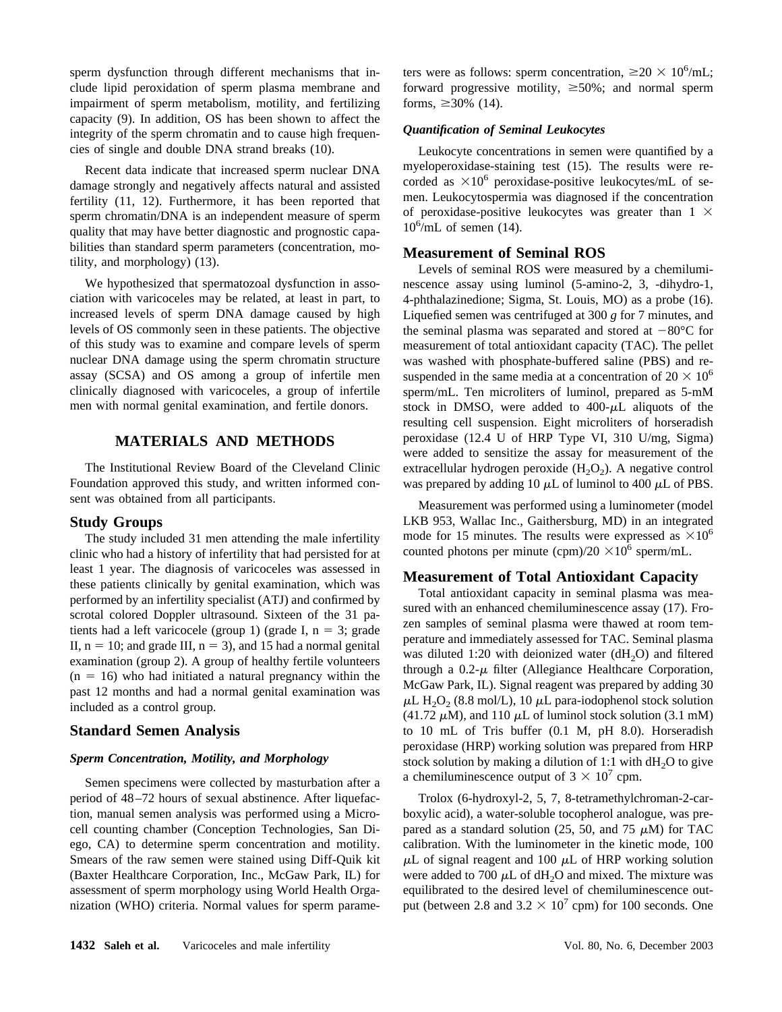sperm dysfunction through different mechanisms that include lipid peroxidation of sperm plasma membrane and impairment of sperm metabolism, motility, and fertilizing capacity (9). In addition, OS has been shown to affect the integrity of the sperm chromatin and to cause high frequencies of single and double DNA strand breaks (10).

Recent data indicate that increased sperm nuclear DNA damage strongly and negatively affects natural and assisted fertility (11, 12). Furthermore, it has been reported that sperm chromatin/DNA is an independent measure of sperm quality that may have better diagnostic and prognostic capabilities than standard sperm parameters (concentration, motility, and morphology) (13).

We hypothesized that spermatozoal dysfunction in association with varicoceles may be related, at least in part, to increased levels of sperm DNA damage caused by high levels of OS commonly seen in these patients. The objective of this study was to examine and compare levels of sperm nuclear DNA damage using the sperm chromatin structure assay (SCSA) and OS among a group of infertile men clinically diagnosed with varicoceles, a group of infertile men with normal genital examination, and fertile donors.

## **MATERIALS AND METHODS**

The Institutional Review Board of the Cleveland Clinic Foundation approved this study, and written informed consent was obtained from all participants.

## **Study Groups**

The study included 31 men attending the male infertility clinic who had a history of infertility that had persisted for at least 1 year. The diagnosis of varicoceles was assessed in these patients clinically by genital examination, which was performed by an infertility specialist (ATJ) and confirmed by scrotal colored Doppler ultrasound. Sixteen of the 31 patients had a left varicocele (group 1) (grade I,  $n = 3$ ; grade II,  $n = 10$ ; and grade III,  $n = 3$ ), and 15 had a normal genital examination (group 2). A group of healthy fertile volunteers  $(n = 16)$  who had initiated a natural pregnancy within the past 12 months and had a normal genital examination was included as a control group.

## **Standard Semen Analysis**

#### *Sperm Concentration, Motility, and Morphology*

Semen specimens were collected by masturbation after a period of 48–72 hours of sexual abstinence. After liquefaction, manual semen analysis was performed using a Microcell counting chamber (Conception Technologies, San Diego, CA) to determine sperm concentration and motility. Smears of the raw semen were stained using Diff-Quik kit (Baxter Healthcare Corporation, Inc., McGaw Park, IL) for assessment of sperm morphology using World Health Organization (WHO) criteria. Normal values for sperm parame-

ters were as follows: sperm concentration,  $\geq 20 \times 10^6$ /mL; forward progressive motility,  $\geq 50\%$ ; and normal sperm forms,  $\geq 30\%$  (14).

#### *Quantification of Seminal Leukocytes*

Leukocyte concentrations in semen were quantified by a myeloperoxidase-staining test (15). The results were recorded as  $\times 10^6$  peroxidase-positive leukocytes/mL of semen. Leukocytospermia was diagnosed if the concentration of peroxidase-positive leukocytes was greater than  $1 \times$  $10^6$ /mL of semen (14).

#### **Measurement of Seminal ROS**

Levels of seminal ROS were measured by a chemiluminescence assay using luminol (5-amino-2, 3, -dihydro-1, 4-phthalazinedione; Sigma, St. Louis, MO) as a probe (16). Liquefied semen was centrifuged at 300 *g* for 7 minutes, and the seminal plasma was separated and stored at  $-80^{\circ}$ C for measurement of total antioxidant capacity (TAC). The pellet was washed with phosphate-buffered saline (PBS) and resuspended in the same media at a concentration of  $20 \times 10^6$ sperm/mL. Ten microliters of luminol, prepared as 5-mM stock in DMSO, were added to  $400-\mu L$  aliquots of the resulting cell suspension. Eight microliters of horseradish peroxidase (12.4 U of HRP Type VI, 310 U/mg, Sigma) were added to sensitize the assay for measurement of the extracellular hydrogen peroxide  $(H_2O_2)$ . A negative control was prepared by adding 10  $\mu$ L of luminol to 400  $\mu$ L of PBS.

Measurement was performed using a luminometer (model LKB 953, Wallac Inc., Gaithersburg, MD) in an integrated mode for 15 minutes. The results were expressed as  $\times 10^6$ counted photons per minute (cpm)/20  $\times 10^6$  sperm/mL.

## **Measurement of Total Antioxidant Capacity**

Total antioxidant capacity in seminal plasma was measured with an enhanced chemiluminescence assay (17). Frozen samples of seminal plasma were thawed at room temperature and immediately assessed for TAC. Seminal plasma was diluted 1:20 with deionized water  $(dH<sub>2</sub>O)$  and filtered through a  $0.2-\mu$  filter (Allegiance Healthcare Corporation, McGaw Park, IL). Signal reagent was prepared by adding 30  $\mu$ L H<sub>2</sub>O<sub>2</sub> (8.8 mol/L), 10  $\mu$ L para-iodophenol stock solution (41.72  $\mu$ M), and 110  $\mu$ L of luminol stock solution (3.1 mM) to 10 mL of Tris buffer (0.1 M, pH 8.0). Horseradish peroxidase (HRP) working solution was prepared from HRP stock solution by making a dilution of 1:1 with  $dH<sub>2</sub>O$  to give a chemiluminescence output of  $3 \times 10^7$  cpm.

Trolox (6-hydroxyl-2, 5, 7, 8-tetramethylchroman-2-carboxylic acid), a water-soluble tocopherol analogue, was prepared as a standard solution (25, 50, and 75  $\mu$ M) for TAC calibration. With the luminometer in the kinetic mode, 100  $\mu$ L of signal reagent and 100  $\mu$ L of HRP working solution were added to 700  $\mu$ L of dH<sub>2</sub>O and mixed. The mixture was equilibrated to the desired level of chemiluminescence output (between 2.8 and  $3.2 \times 10^7$  cpm) for 100 seconds. One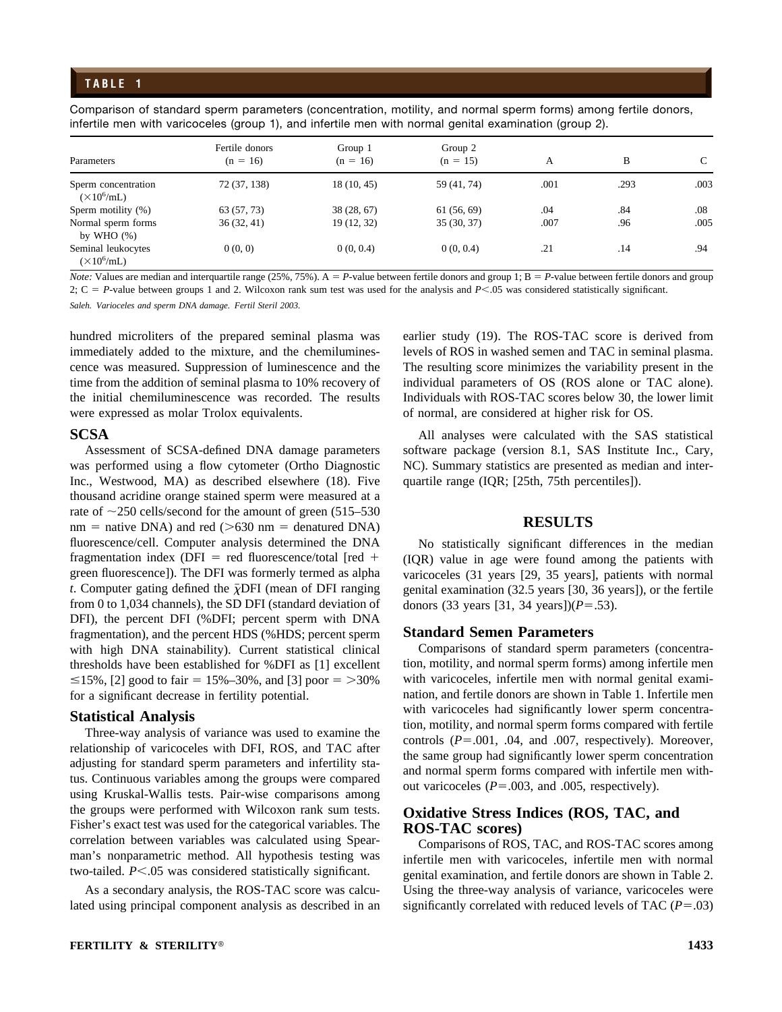## **TABLE 1**

Comparison of standard sperm parameters (concentration, motility, and normal sperm forms) among fertile donors, infertile men with varicoceles (group 1), and infertile men with normal genital examination (group 2).

| Parameters                                 | Fertile donors<br>$(n = 16)$ | Group 1<br>$(n = 16)$ | Group 2<br>$(n = 15)$ | А    | B    | C    |
|--------------------------------------------|------------------------------|-----------------------|-----------------------|------|------|------|
|                                            |                              |                       |                       |      |      |      |
| Sperm concentration<br>$(\times 10^6$ /mL) | 72 (37, 138)                 | 18(10, 45)            | 59 (41, 74)           | .001 | .293 | .003 |
| Sperm motility (%)                         | 63 (57, 73)                  | 38(28, 67)            | 61(56, 69)            | .04  | .84  | .08  |
| Normal sperm forms<br>by WHO $(\%)$        | 36(32, 41)                   | 19 (12, 32)           | 35(30, 37)            | .007 | .96  | .005 |
| Seminal leukocytes<br>$(\times 10^6$ /mL)  | 0(0, 0)                      | 0(0, 0.4)             | 0(0, 0.4)             | .21  | .14  | .94  |

*Note:* Values are median and interquartile range (25%, 75%).  $A = P$ -value between fertile donors and group 1;  $B = P$ -value between fertile donors and group 2;  $C = P$ -value between groups 1 and 2. Wilcoxon rank sum test was used for the analysis and  $P < 0.05$  was considered statistically significant.

*Saleh. Varioceles and sperm DNA damage. Fertil Steril 2003.*

hundred microliters of the prepared seminal plasma was immediately added to the mixture, and the chemiluminescence was measured. Suppression of luminescence and the time from the addition of seminal plasma to 10% recovery of the initial chemiluminescence was recorded. The results were expressed as molar Trolox equivalents.

#### **SCSA**

Assessment of SCSA-defined DNA damage parameters was performed using a flow cytometer (Ortho Diagnostic Inc., Westwood, MA) as described elsewhere (18). Five thousand acridine orange stained sperm were measured at a rate of  $\sim$ 250 cells/second for the amount of green (515–530  $nm =$  native DNA) and red ( $>630$  nm = denatured DNA) fluorescence/cell. Computer analysis determined the DNA fragmentation index (DFI = red fluorescence/total [red + green fluorescence]). The DFI was formerly termed as alpha *t*. Computer gating defined the  $\bar{\chi}$ DFI (mean of DFI ranging from 0 to 1,034 channels), the SD DFI (standard deviation of DFI), the percent DFI (%DFI; percent sperm with DNA fragmentation), and the percent HDS (%HDS; percent sperm with high DNA stainability). Current statistical clinical thresholds have been established for %DFI as [1] excellent  $\leq$ 15%, [2] good to fair = 15%–30%, and [3] poor = >30% for a significant decrease in fertility potential.

## **Statistical Analysis**

Three-way analysis of variance was used to examine the relationship of varicoceles with DFI, ROS, and TAC after adjusting for standard sperm parameters and infertility status. Continuous variables among the groups were compared using Kruskal-Wallis tests. Pair-wise comparisons among the groups were performed with Wilcoxon rank sum tests. Fisher's exact test was used for the categorical variables. The correlation between variables was calculated using Spearman's nonparametric method. All hypothesis testing was two-tailed. *P*<.05 was considered statistically significant.

As a secondary analysis, the ROS-TAC score was calculated using principal component analysis as described in an

earlier study (19). The ROS-TAC score is derived from levels of ROS in washed semen and TAC in seminal plasma. The resulting score minimizes the variability present in the individual parameters of OS (ROS alone or TAC alone). Individuals with ROS-TAC scores below 30, the lower limit of normal, are considered at higher risk for OS.

All analyses were calculated with the SAS statistical software package (version 8.1, SAS Institute Inc., Cary, NC). Summary statistics are presented as median and interquartile range (IQR; [25th, 75th percentiles]).

## **RESULTS**

No statistically significant differences in the median (IQR) value in age were found among the patients with varicoceles (31 years [29, 35 years], patients with normal genital examination (32.5 years [30, 36 years]), or the fertile donors (33 years [31, 34 years]) $(P=.53)$ .

## **Standard Semen Parameters**

Comparisons of standard sperm parameters (concentration, motility, and normal sperm forms) among infertile men with varicoceles, infertile men with normal genital examination, and fertile donors are shown in Table 1. Infertile men with varicoceles had significantly lower sperm concentration, motility, and normal sperm forms compared with fertile controls  $(P=.001, .04, \text{ and } .007, \text{ respectively})$ . Moreover, the same group had significantly lower sperm concentration and normal sperm forms compared with infertile men without varicoceles  $(P=.003, \text{ and } .005, \text{ respectively}).$ 

## **Oxidative Stress Indices (ROS, TAC, and ROS-TAC scores)**

Comparisons of ROS, TAC, and ROS-TAC scores among infertile men with varicoceles, infertile men with normal genital examination, and fertile donors are shown in Table 2. Using the three-way analysis of variance, varicoceles were significantly correlated with reduced levels of TAC  $(P=.03)$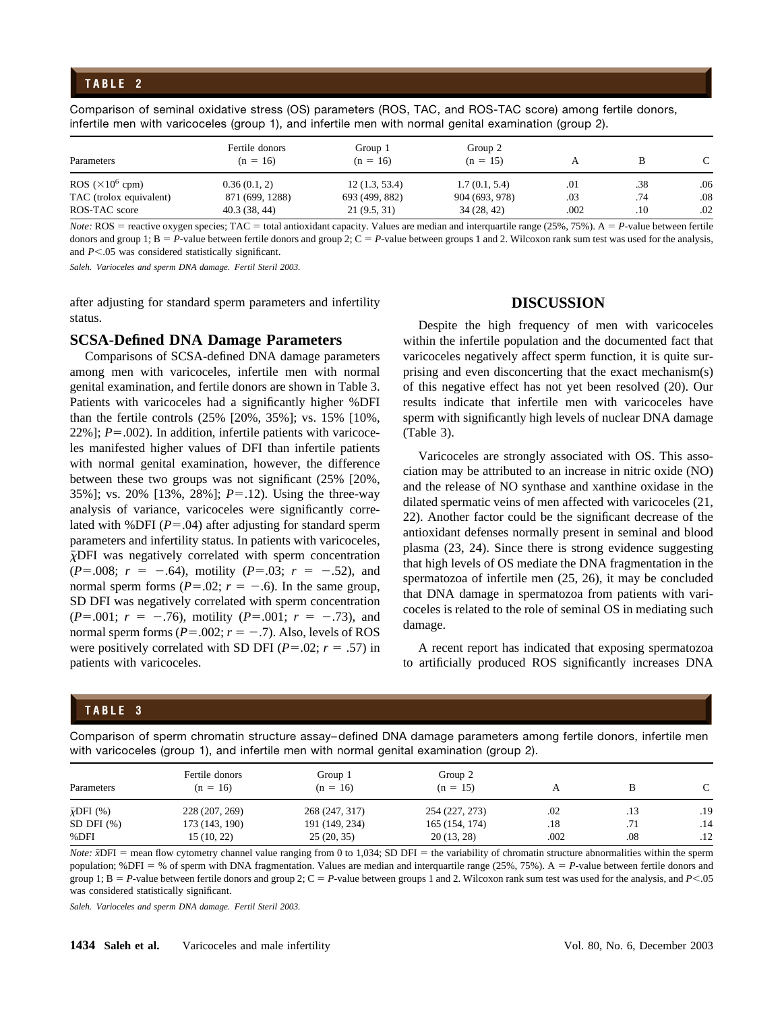## **TABLE 2**

Comparison of seminal oxidative stress (OS) parameters (ROS, TAC, and ROS-TAC score) among fertile donors, infertile men with varicoceles (group 1), and infertile men with normal genital examination (group 2).

| Parameters              | Fertile donors<br>$(n = 16)$ | Group 1<br>$(n = 16)$ | Group 2<br>$(n = 15)$ |      |     |     |
|-------------------------|------------------------------|-----------------------|-----------------------|------|-----|-----|
| ROS $(\times 10^6$ cpm) | 0.36(0.1, 2)                 | 12(1.3, 53.4)         | 1.7(0.1, 5.4)         | .01  | .38 | .06 |
| TAC (trolox equivalent) | 871 (699, 1288)              | 693 (499, 882)        | 904 (693, 978)        | .03  | .74 | .08 |
| ROS-TAC score           | 40.3(38, 44)                 | 21(9.5, 31)           | 34(28, 42)            | .002 | .10 | .02 |

*Note:*  $ROS$  = reactive oxygen species;  $TAC$  = total antioxidant capacity. Values are median and interquartile range (25%, 75%).  $A$  = *P*-value between fertile donors and group 1;  $B = P$ -value between fertile donors and group 2;  $C = P$ -value between groups 1 and 2. Wilcoxon rank sum test was used for the analysis, and *P*<.05 was considered statistically significant.

*Saleh. Varioceles and sperm DNA damage. Fertil Steril 2003.*

after adjusting for standard sperm parameters and infertility status.

#### **SCSA-Defined DNA Damage Parameters**

Comparisons of SCSA-defined DNA damage parameters among men with varicoceles, infertile men with normal genital examination, and fertile donors are shown in Table 3. Patients with varicoceles had a significantly higher %DFI than the fertile controls (25% [20%, 35%]; vs. 15% [10%,  $22\%$ ];  $P = .002$ ). In addition, infertile patients with varicoceles manifested higher values of DFI than infertile patients with normal genital examination, however, the difference between these two groups was not significant (25% [20%, 35%]; vs. 20% [13%, 28%]; *P*=.12). Using the three-way analysis of variance, varicoceles were significantly correlated with %DFI  $(P=.04)$  after adjusting for standard sperm parameters and infertility status. In patients with varicoceles,  $\bar{\chi}$ DFI was negatively correlated with sperm concentration  $(P=.008; r = -.64)$ , motility  $(P=.03; r = -.52)$ , and normal sperm forms  $(P=.02; r = -.6)$ . In the same group, SD DFI was negatively correlated with sperm concentration  $(P=.001; r = -.76)$ , motility  $(P=.001; r = -.73)$ , and normal sperm forms ( $P = .002$ ;  $r = -.7$ ). Also, levels of ROS were positively correlated with SD DFI ( $P = .02$ ;  $r = .57$ ) in patients with varicoceles.

#### **DISCUSSION**

Despite the high frequency of men with varicoceles within the infertile population and the documented fact that varicoceles negatively affect sperm function, it is quite surprising and even disconcerting that the exact mechanism(s) of this negative effect has not yet been resolved (20). Our results indicate that infertile men with varicoceles have sperm with significantly high levels of nuclear DNA damage (Table 3).

Varicoceles are strongly associated with OS. This association may be attributed to an increase in nitric oxide (NO) and the release of NO synthase and xanthine oxidase in the dilated spermatic veins of men affected with varicoceles (21, 22). Another factor could be the significant decrease of the antioxidant defenses normally present in seminal and blood plasma (23, 24). Since there is strong evidence suggesting that high levels of OS mediate the DNA fragmentation in the spermatozoa of infertile men (25, 26), it may be concluded that DNA damage in spermatozoa from patients with varicoceles is related to the role of seminal OS in mediating such damage.

A recent report has indicated that exposing spermatozoa to artificially produced ROS significantly increases DNA

## **TABLE 3**

Comparison of sperm chromatin structure assay– defined DNA damage parameters among fertile donors, infertile men with varicoceles (group 1), and infertile men with normal genital examination (group 2).

| Parameters              | Fertile donors<br>$(n = 16)$ | Group 1<br>$(n = 16)$ | Group 2<br>$(n = 15)$ | А    | в   |     |
|-------------------------|------------------------------|-----------------------|-----------------------|------|-----|-----|
| $\bar{\chi}$ DFI $(\%)$ | 228 (207, 269)               | 268 (247, 317)        | 254 (227, 273)        | .02  | .13 | .19 |
| SD DFI $(\%)$           | 173 (143, 190)               | 191 (149, 234)        | 165 (154, 174)        | .18  | .71 | .14 |
| %DFI                    | 15(10, 22)                   | 25(20, 35)            | 20(13, 28)            | .002 | .08 | .12 |

*Note:*  $\bar{x}$ DFI = mean flow cytometry channel value ranging from 0 to 1,034; SD DFI = the variability of chromatin structure abnormalities within the sperm population; %DFI = % of sperm with DNA fragmentation. Values are median and interquartile range (25%, 75%). A = *P*-value between fertile donors and group 1;  $B = P$ -value between fertile donors and group 2;  $C = P$ -value between groups 1 and 2. Wilcoxon rank sum test was used for the analysis, and  $P \le 0.05$ was considered statistically significant.

*Saleh. Varioceles and sperm DNA damage. Fertil Steril 2003.*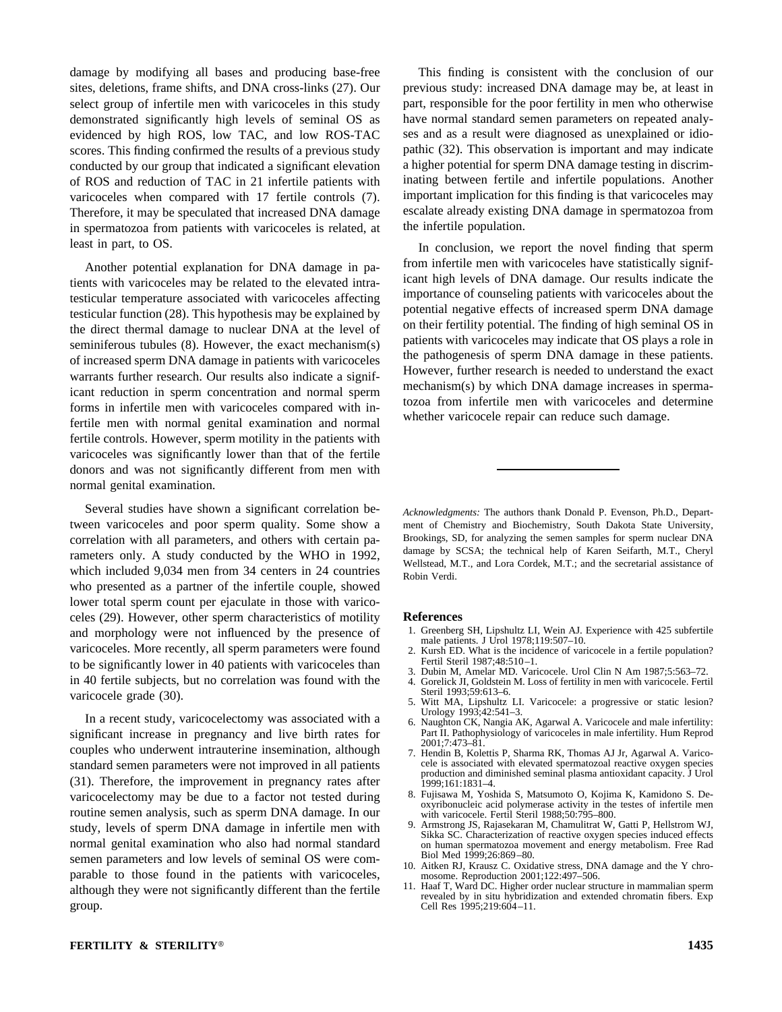damage by modifying all bases and producing base-free sites, deletions, frame shifts, and DNA cross-links (27). Our select group of infertile men with varicoceles in this study demonstrated significantly high levels of seminal OS as evidenced by high ROS, low TAC, and low ROS-TAC scores. This finding confirmed the results of a previous study conducted by our group that indicated a significant elevation of ROS and reduction of TAC in 21 infertile patients with varicoceles when compared with 17 fertile controls (7). Therefore, it may be speculated that increased DNA damage in spermatozoa from patients with varicoceles is related, at least in part, to OS.

Another potential explanation for DNA damage in patients with varicoceles may be related to the elevated intratesticular temperature associated with varicoceles affecting testicular function (28). This hypothesis may be explained by the direct thermal damage to nuclear DNA at the level of seminiferous tubules (8). However, the exact mechanism(s) of increased sperm DNA damage in patients with varicoceles warrants further research. Our results also indicate a significant reduction in sperm concentration and normal sperm forms in infertile men with varicoceles compared with infertile men with normal genital examination and normal fertile controls. However, sperm motility in the patients with varicoceles was significantly lower than that of the fertile donors and was not significantly different from men with normal genital examination.

Several studies have shown a significant correlation between varicoceles and poor sperm quality. Some show a correlation with all parameters, and others with certain parameters only. A study conducted by the WHO in 1992, which included 9,034 men from 34 centers in 24 countries who presented as a partner of the infertile couple, showed lower total sperm count per ejaculate in those with varicoceles (29). However, other sperm characteristics of motility and morphology were not influenced by the presence of varicoceles. More recently, all sperm parameters were found to be significantly lower in 40 patients with varicoceles than in 40 fertile subjects, but no correlation was found with the varicocele grade (30).

In a recent study, varicocelectomy was associated with a significant increase in pregnancy and live birth rates for couples who underwent intrauterine insemination, although standard semen parameters were not improved in all patients (31). Therefore, the improvement in pregnancy rates after varicocelectomy may be due to a factor not tested during routine semen analysis, such as sperm DNA damage. In our study, levels of sperm DNA damage in infertile men with normal genital examination who also had normal standard semen parameters and low levels of seminal OS were comparable to those found in the patients with varicoceles, although they were not significantly different than the fertile group.

This finding is consistent with the conclusion of our previous study: increased DNA damage may be, at least in part, responsible for the poor fertility in men who otherwise have normal standard semen parameters on repeated analyses and as a result were diagnosed as unexplained or idiopathic (32). This observation is important and may indicate a higher potential for sperm DNA damage testing in discriminating between fertile and infertile populations. Another important implication for this finding is that varicoceles may escalate already existing DNA damage in spermatozoa from the infertile population.

In conclusion, we report the novel finding that sperm from infertile men with varicoceles have statistically significant high levels of DNA damage. Our results indicate the importance of counseling patients with varicoceles about the potential negative effects of increased sperm DNA damage on their fertility potential. The finding of high seminal OS in patients with varicoceles may indicate that OS plays a role in the pathogenesis of sperm DNA damage in these patients. However, further research is needed to understand the exact mechanism(s) by which DNA damage increases in spermatozoa from infertile men with varicoceles and determine whether varicocele repair can reduce such damage.

*Acknowledgments:* The authors thank Donald P. Evenson, Ph.D., Department of Chemistry and Biochemistry, South Dakota State University, Brookings, SD, for analyzing the semen samples for sperm nuclear DNA damage by SCSA; the technical help of Karen Seifarth, M.T., Cheryl Wellstead, M.T., and Lora Cordek, M.T.; and the secretarial assistance of Robin Verdi.

#### **References**

- 1. Greenberg SH, Lipshultz LI, Wein AJ. Experience with 425 subfertile male patients. J Urol 1978;119:507–10.
- 2. Kursh ED. What is the incidence of varicocele in a fertile population? Fertil Steril 1987;48:510–1.
- 3. Dubin M, Amelar MD. Varicocele. Urol Clin N Am 1987;5:563–72. 4. Gorelick JI, Goldstein M. Loss of fertility in men with varicocele. Fertil
- Steril 1993;59:613–6. 5. Witt MA, Lipshultz LI. Varicocele: a progressive or static lesion? Urology 1993;42:541–3.
- 6. Naughton CK, Nangia AK, Agarwal A. Varicocele and male infertility: Part II. Pathophysiology of varicoceles in male infertility. Hum Reprod  $2001:7:473 - 81$ .
- 7. Hendin B, Kolettis P, Sharma RK, Thomas AJ Jr, Agarwal A. Varicocele is associated with elevated spermatozoal reactive oxygen species production and diminished seminal plasma antioxidant capacity. J Urol 1999;161:1831–4.
- 8. Fujisawa M, Yoshida S, Matsumoto O, Kojima K, Kamidono S. Deoxyribonucleic acid polymerase activity in the testes of infertile men with varicocele. Fertil Steril 1988;50:795–800.
- 9. Armstrong JS, Rajasekaran M, Chamulitrat W, Gatti P, Hellstrom WJ, Sikka SC. Characterization of reactive oxygen species induced effects on human spermatozoa movement and energy metabolism. Free Rad Biol Med 1999;26:869–80.
- 10. Aitken RJ, Krausz C. Oxidative stress, DNA damage and the Y chromosome. Reproduction 2001;122:497–506.
- 11. Haaf T, Ward DC. Higher order nuclear structure in mammalian sperm revealed by in situ hybridization and extended chromatin fibers. Exp Cell Res 1995;219:604–11.